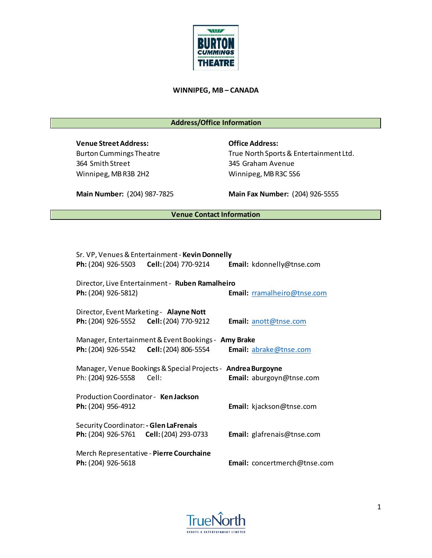

## **WINNIPEG, MB – CANADA**

# **Address/Office Information**

**Venue Street Address: Office Address:** 364 Smith Street 345 Graham Avenue Winnipeg, MB R3B 2H2 Winnipeg, MB R3C 5S6

Burton Cummings Theatre True North Sports & Entertainment Ltd.

**Main Number:** (204) 987-7825 **Main Fax Number:** (204) 926-5555

# **Venue Contact Information**

|                                                              | Sr. VP, Venues & Entertainment - Kevin Donnelly                         |  |                                   |  |
|--------------------------------------------------------------|-------------------------------------------------------------------------|--|-----------------------------------|--|
|                                                              | Ph: (204) 926-5503    Cell: (204) 770-9214    Email: kdonnelly@tnse.com |  |                                   |  |
| Ph: (204) 926-5812)                                          | Director, Live Entertainment - Ruben Ramalheiro                         |  | Email: rramalheiro@tnse.com       |  |
| Director, Event Marketing - Alayne Nott                      |                                                                         |  |                                   |  |
|                                                              | Ph: (204) 926-5552 Cell: (204) 770-9212                                 |  | Email: anott@tnse.com             |  |
|                                                              | Manager, Entertainment & Event Bookings - Amy Brake                     |  |                                   |  |
|                                                              | Ph: (204) 926-5542    Cell: (204) 806-5554    Email: abrake@tnse.com    |  |                                   |  |
| Manager, Venue Bookings & Special Projects - Andrea Burgoyne |                                                                         |  |                                   |  |
| Ph: (204) 926-5558 Cell:                                     |                                                                         |  | Email: aburgoyn@tnse.com          |  |
| Production Coordinator - Ken Jackson                         |                                                                         |  |                                   |  |
| Ph: (204) 956-4912                                           |                                                                         |  | Email: kjackson@tnse.com          |  |
| Security Coordinator: - Glen LaFrenais                       |                                                                         |  |                                   |  |
|                                                              | <b>Ph:</b> (204) 926-5761 <b>Cell:</b> (204) 293-0733                   |  | <b>Email:</b> glafrenais@tnse.com |  |
| Merch Representative - Pierre Courchaine                     |                                                                         |  |                                   |  |
| Ph: (204) 926-5618                                           |                                                                         |  | Email: concertmerch@tnse.com      |  |

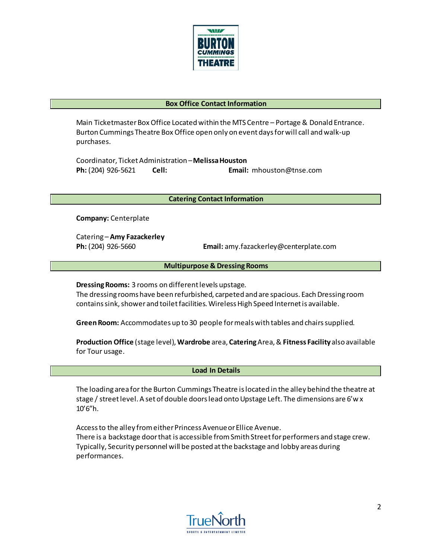

### **Box Office Contact Information**

Main Ticketmaster Box Office Located within the MTS Centre – Portage & Donald Entrance. Burton Cummings Theatre Box Office open only on event days for will call and walk-up purchases.

Coordinator, Ticket Administration – **Melissa Houston Ph:** (204) 926-5621 **Cell: Email:** mhouston@tnse.com

**Catering Contact Information**

**Company:** Centerplate

Catering – **Amy Fazackerley**

**Ph:** (204) 926-5660 **Email:** amy.fazackerley@centerplate.com

 **Multipurpose & Dressing Rooms**

**Dressing Rooms:** 3 rooms on different levels upstage.

The dressing rooms have been refurbished, carpeted and are spacious. Each Dressing room contains sink, shower and toilet facilities. Wireless High Speed Internet is available.

**Green Room:** Accommodates up to 30 people for meals with tables and chairs supplied.

**Production Office** (stage level), **Wardrobe** area, **Catering**Area, & **Fitness Facility** also available for Tour usage.

 **Load In Details**

The loading area for the Burton Cummings Theatre is located in the alley behind the theatre at stage / street level. A set of double doors lead onto Upstage Left. The dimensions are 6'w x 10'6"h.

Access to the alley from either Princess Avenue or Ellice Avenue. There is a backstage door that is accessible from Smith Street for performers and stage crew. Typically, Security personnel will be posted at the backstage and lobby areas during performances.

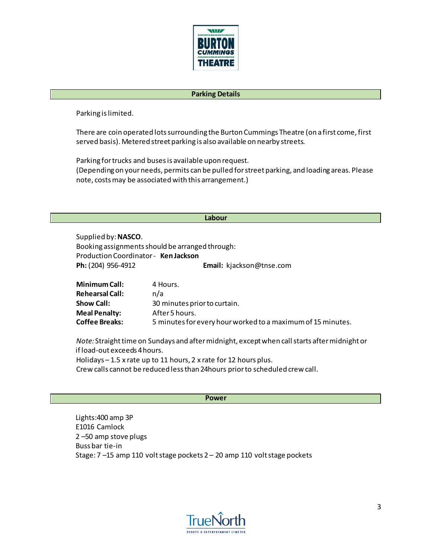

### **Parking Details**

Parking is limited.

There are coin operated lots surrounding the Burton Cummings Theatre (on a first come, first served basis). Metered street parking is also available on nearby streets.

Parking for trucks and buses is available upon request. (Depending on your needs, permits can be pulled for street parking, and loading areas. Please note, costs may be associated with this arrangement.)

#### **Labour**

Supplied by: **NASCO**. Booking assignments should be arranged through: Production Coordinator - **Ken Jackson Ph:** (204) 956-4912 **Email:** kjackson@tnse.com

| Minimum Call:         | 4 Hours.                                                    |
|-----------------------|-------------------------------------------------------------|
| Rehearsal Call:       | n/a                                                         |
| <b>Show Call:</b>     | 30 minutes prior to curtain.                                |
| <b>Meal Penalty:</b>  | After 5 hours.                                              |
| <b>Coffee Breaks:</b> | 5 minutes for every hour worked to a maximum of 15 minutes. |
|                       |                                                             |

*Note:* Straight time on Sundays and after midnight, except when call starts after midnight or if load-out exceeds 4 hours.

Holidays – 1.5 x rate up to 11 hours, 2 x rate for 12 hours plus.

Crew calls cannot be reduced less than 24hours prior to scheduled crew call.

#### **Power**

Lights:400 amp 3P E1016 Camlock 2 –50 amp stove plugs Buss bar tie-in Stage: 7 –15 amp 110 volt stage pockets 2 – 20 amp 110 volt stage pockets

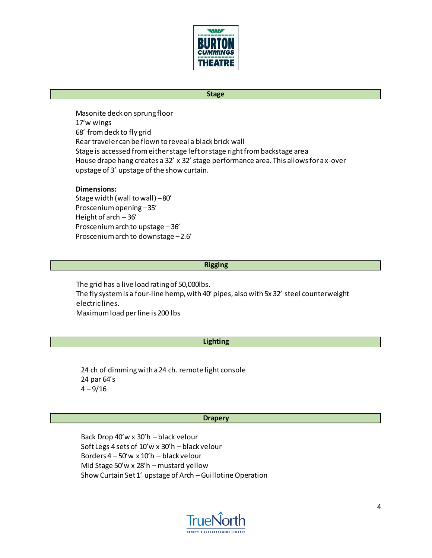

### **Stage**

Masonite deck on sprung floor 17'w wings 68' from deck to fly grid Rear traveler can be flown to reveal a black brick wall Stage is accessed from either stage left or stage right from backstage area House drape hang creates a 32' x 32' stage performance area. This allows for a x-over upstage of 3' upstage of the show curtain.

### **Dimensions:**

Stage width (wall to wall) – 80' Proscenium opening – 35' Height of arch – 36' Proscenium arch to upstage – 36' Proscenium arch to downstage – 2.6'

#### **Rigging**

The grid has a live load rating of 50,000lbs. The fly system is a four-line hemp, with 40' pipes, also with 5x 32' steel counterweight electric lines. Maximum load per line is 200 lbs

#### **Lighting**

24 ch of dimming with a 24 ch. remote light console 24 par 64's  $4 - 9/16$ 

#### **Drapery**

Back Drop 40'w x 30'h – black velour Soft Legs 4 sets of 10'w x 30'h – black velour Borders 4 – 50'w x 10'h – black velour Mid Stage 50'w x 28'h – mustard yellow Show Curtain Set 1' upstage of Arch – Guillotine Operation